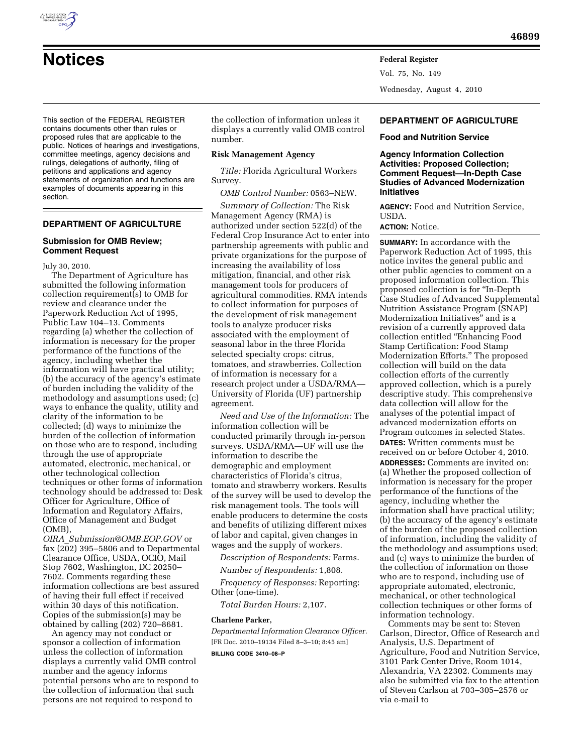

Vol. 75, No. 149 Wednesday, August 4, 2010

This section of the FEDERAL REGISTER contains documents other than rules or proposed rules that are applicable to the public. Notices of hearings and investigations, committee meetings, agency decisions and rulings, delegations of authority, filing of petitions and applications and agency statements of organization and functions are examples of documents appearing in this section.

# **DEPARTMENT OF AGRICULTURE**

## **Submission for OMB Review; Comment Request**

July 30, 2010.

The Department of Agriculture has submitted the following information collection requirement(s) to OMB for review and clearance under the Paperwork Reduction Act of 1995, Public Law 104–13. Comments regarding (a) whether the collection of information is necessary for the proper performance of the functions of the agency, including whether the information will have practical utility; (b) the accuracy of the agency's estimate of burden including the validity of the methodology and assumptions used; (c) ways to enhance the quality, utility and clarity of the information to be collected; (d) ways to minimize the burden of the collection of information on those who are to respond, including through the use of appropriate automated, electronic, mechanical, or other technological collection techniques or other forms of information technology should be addressed to: Desk Officer for Agriculture, Office of Information and Regulatory Affairs, Office of Management and Budget (OMB),

*OIRA*\_*[Submission@OMB.EOP.GOV](mailto:OIRA_Submission@OMB.EOP.GOV)* or fax (202) 395–5806 and to Departmental Clearance Office, USDA, OCIO, Mail Stop 7602, Washington, DC 20250– 7602. Comments regarding these information collections are best assured of having their full effect if received within 30 days of this notification. Copies of the submission(s) may be obtained by calling (202) 720–8681.

An agency may not conduct or sponsor a collection of information unless the collection of information displays a currently valid OMB control number and the agency informs potential persons who are to respond to the collection of information that such persons are not required to respond to

the collection of information unless it displays a currently valid OMB control number.

## **Risk Management Agency**

*Title:* Florida Agricultural Workers Survey.

*OMB Control Number:* 0563–NEW.

*Summary of Collection:* The Risk Management Agency (RMA) is authorized under section 522(d) of the Federal Crop Insurance Act to enter into partnership agreements with public and private organizations for the purpose of increasing the availability of loss mitigation, financial, and other risk management tools for producers of agricultural commodities. RMA intends to collect information for purposes of the development of risk management tools to analyze producer risks associated with the employment of seasonal labor in the three Florida selected specialty crops: citrus, tomatoes, and strawberries. Collection of information is necessary for a research project under a USDA/RMA— University of Florida (UF) partnership agreement.

*Need and Use of the Information:* The information collection will be conducted primarily through in-person surveys. USDA/RMA—UF will use the information to describe the demographic and employment characteristics of Florida's citrus, tomato and strawberry workers. Results of the survey will be used to develop the risk management tools. The tools will enable producers to determine the costs and benefits of utilizing different mixes of labor and capital, given changes in wages and the supply of workers.

*Description of Respondents:* Farms.

*Number of Respondents:* 1,808.

*Frequency of Responses:* Reporting: Other (one-time).

*Total Burden Hours:* 2,107.

## **Charlene Parker,**

*Departmental Information Clearance Officer.*  [FR Doc. 2010–19134 Filed 8–3–10; 8:45 am] **BILLING CODE 3410–08–P** 

# **DEPARTMENT OF AGRICULTURE**

## **Food and Nutrition Service**

## **Agency Information Collection Activities: Proposed Collection; Comment Request—In-Depth Case Studies of Advanced Modernization Initiatives**

**AGENCY:** Food and Nutrition Service, USDA.

# **ACTION:** Notice.

**SUMMARY:** In accordance with the Paperwork Reduction Act of 1995, this notice invites the general public and other public agencies to comment on a proposed information collection. This proposed collection is for ''In-Depth Case Studies of Advanced Supplemental Nutrition Assistance Program (SNAP) Modernization Initiatives'' and is a revision of a currently approved data collection entitled ''Enhancing Food Stamp Certification: Food Stamp Modernization Efforts.'' The proposed collection will build on the data collection efforts of the currently approved collection, which is a purely descriptive study. This comprehensive data collection will allow for the analyses of the potential impact of advanced modernization efforts on Program outcomes in selected States. **DATES:** Written comments must be received on or before October 4, 2010. **ADDRESSES:** Comments are invited on: (a) Whether the proposed collection of information is necessary for the proper performance of the functions of the agency, including whether the information shall have practical utility; (b) the accuracy of the agency's estimate of the burden of the proposed collection of information, including the validity of the methodology and assumptions used; and (c) ways to minimize the burden of the collection of information on those who are to respond, including use of appropriate automated, electronic, mechanical, or other technological collection techniques or other forms of information technology.

Comments may be sent to: Steven Carlson, Director, Office of Research and Analysis, U.S. Department of Agriculture, Food and Nutrition Service, 3101 Park Center Drive, Room 1014, Alexandria, VA 22302. Comments may also be submitted via fax to the attention of Steven Carlson at 703–305–2576 or via e-mail to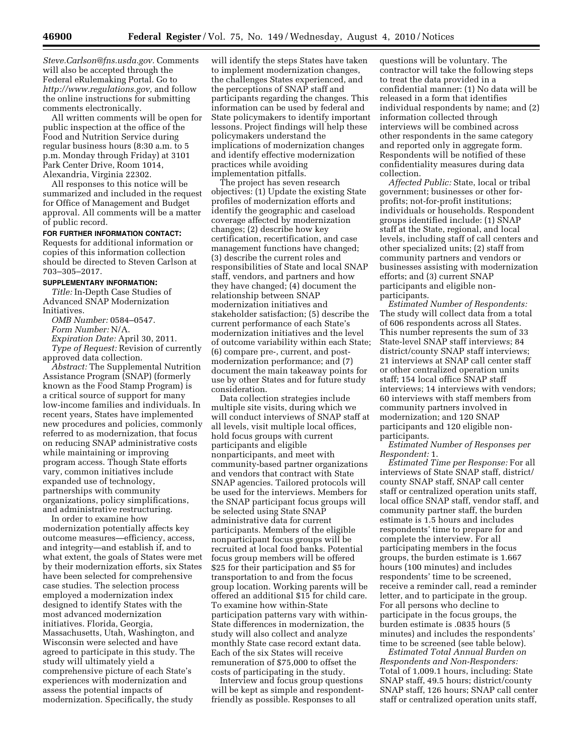*[Steve.Carlson@fns.usda.gov.](mailto:Steve.Carlson@fns.usda.gov)* Comments will also be accepted through the Federal eRulemaking Portal. Go to *[http://www.regulations.gov,](http://www.regulations.gov)* and follow the online instructions for submitting comments electronically.

All written comments will be open for public inspection at the office of the Food and Nutrition Service during regular business hours (8:30 a.m. to 5 p.m. Monday through Friday) at 3101 Park Center Drive, Room 1014, Alexandria, Virginia 22302.

All responses to this notice will be summarized and included in the request for Office of Management and Budget approval. All comments will be a matter of public record.

#### **FOR FURTHER INFORMATION CONTACT:**

Requests for additional information or copies of this information collection should be directed to Steven Carlson at 703–305–2017.

# **SUPPLEMENTARY INFORMATION:**

*Title:* In-Depth Case Studies of Advanced SNAP Modernization Initiatives.

*OMB Number:* 0584–0547.

*Form Number:* N/A.

*Expiration Date:* April 30, 2011.

*Type of Request:* Revision of currently approved data collection.

*Abstract:* The Supplemental Nutrition Assistance Program (SNAP) (formerly known as the Food Stamp Program) is a critical source of support for many low-income families and individuals. In recent years, States have implemented new procedures and policies, commonly referred to as modernization, that focus on reducing SNAP administrative costs while maintaining or improving program access. Though State efforts vary, common initiatives include expanded use of technology, partnerships with community organizations, policy simplifications, and administrative restructuring.

In order to examine how modernization potentially affects key outcome measures—efficiency, access, and integrity—and establish if, and to what extent, the goals of States were met by their modernization efforts, six States have been selected for comprehensive case studies. The selection process employed a modernization index designed to identify States with the most advanced modernization initiatives. Florida, Georgia, Massachusetts, Utah, Washington, and Wisconsin were selected and have agreed to participate in this study. The study will ultimately yield a comprehensive picture of each State's experiences with modernization and assess the potential impacts of modernization. Specifically, the study

will identify the steps States have taken to implement modernization changes, the challenges States experienced, and the perceptions of SNAP staff and participants regarding the changes. This information can be used by federal and State policymakers to identify important lessons. Project findings will help these policymakers understand the implications of modernization changes and identify effective modernization practices while avoiding implementation pitfalls.

The project has seven research objectives: (1) Update the existing State profiles of modernization efforts and identify the geographic and caseload coverage affected by modernization changes; (2) describe how key certification, recertification, and case management functions have changed; (3) describe the current roles and responsibilities of State and local SNAP staff, vendors, and partners and how they have changed; (4) document the relationship between SNAP modernization initiatives and stakeholder satisfaction; (5) describe the current performance of each State's modernization initiatives and the level of outcome variability within each State; (6) compare pre-, current, and postmodernization performance; and (7) document the main takeaway points for use by other States and for future study consideration.

Data collection strategies include multiple site visits, during which we will conduct interviews of SNAP staff at all levels, visit multiple local offices, hold focus groups with current participants and eligible nonparticipants, and meet with community-based partner organizations and vendors that contract with State SNAP agencies. Tailored protocols will be used for the interviews. Members for the SNAP participant focus groups will be selected using State SNAP administrative data for current participants. Members of the eligible nonparticipant focus groups will be recruited at local food banks. Potential focus group members will be offered \$25 for their participation and \$5 for transportation to and from the focus group location. Working parents will be offered an additional \$15 for child care. To examine how within-State participation patterns vary with within-State differences in modernization, the study will also collect and analyze monthly State case record extant data. Each of the six States will receive remuneration of \$75,000 to offset the costs of participating in the study.

Interview and focus group questions will be kept as simple and respondentfriendly as possible. Responses to all

questions will be voluntary. The contractor will take the following steps to treat the data provided in a confidential manner: (1) No data will be released in a form that identifies individual respondents by name; and (2) information collected through interviews will be combined across other respondents in the same category and reported only in aggregate form. Respondents will be notified of these confidentiality measures during data collection.

*Affected Public:* State, local or tribal government; businesses or other forprofits; not-for-profit institutions; individuals or households. Respondent groups identified include: (1) SNAP staff at the State, regional, and local levels, including staff of call centers and other specialized units; (2) staff from community partners and vendors or businesses assisting with modernization efforts; and (3) current SNAP participants and eligible nonparticipants.

*Estimated Number of Respondents:*  The study will collect data from a total of 606 respondents across all States. This number represents the sum of 33 State-level SNAP staff interviews; 84 district/county SNAP staff interviews; 21 interviews at SNAP call center staff or other centralized operation units staff; 154 local office SNAP staff interviews; 14 interviews with vendors; 60 interviews with staff members from community partners involved in modernization; and 120 SNAP participants and 120 eligible nonparticipants.

*Estimated Number of Responses per Respondent:* 1.

*Estimated Time per Response:* For all interviews of State SNAP staff, district/ county SNAP staff, SNAP call center staff or centralized operation units staff, local office SNAP staff, vendor staff, and community partner staff, the burden estimate is 1.5 hours and includes respondents' time to prepare for and complete the interview. For all participating members in the focus groups, the burden estimate is 1.667 hours (100 minutes) and includes respondents' time to be screened, receive a reminder call, read a reminder letter, and to participate in the group. For all persons who decline to participate in the focus groups, the burden estimate is .0835 hours (5 minutes) and includes the respondents' time to be screened (see table below).

*Estimated Total Annual Burden on Respondents and Non-Responders:*  Total of 1,009.1 hours, including: State SNAP staff, 49.5 hours; district/county SNAP staff, 126 hours; SNAP call center staff or centralized operation units staff,